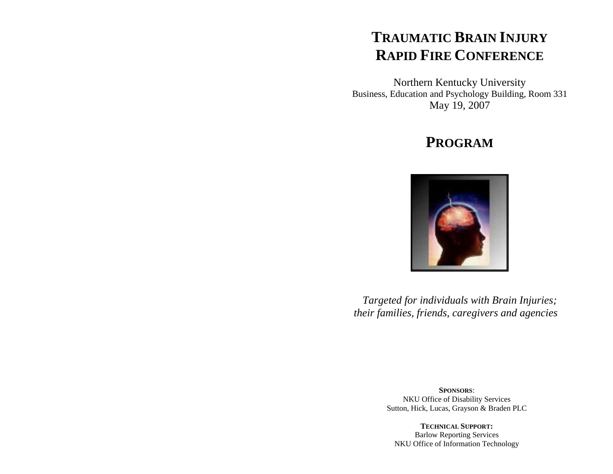# **TRAUMATIC BRAIN INJURY RAPID FIRE CONFERENCE**

Northern Kentucky University Business, Education and Psychology Building, Room 331 May 19, 2007

# **PROGRAM**



*Targeted for individuals with Brain Injuries; their families, friends, caregivers and agencies* 

> **SPONSORS**: NKU Office of Disability Services Sutton, Hick, Lucas, Grayson & Braden PLC

**TECHNICAL SUPPORT:** Barlow Reporting Services NKU Office of Information Technology